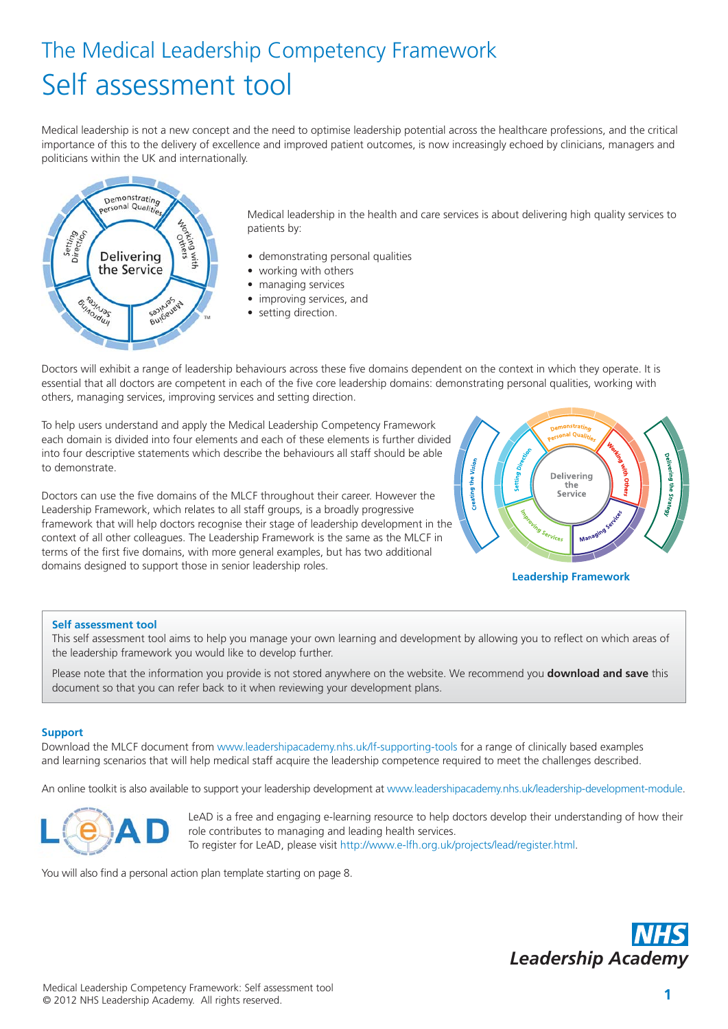# The Medical Leadership Competency Framework Self assessment tool

Medical leadership is not a new concept and the need to optimise leadership potential across the healthcare professions, and the critical importance of this to the delivery of excellence and improved patient outcomes, is now increasingly echoed by clinicians, managers and politicians within the UK and internationally.



Medical leadership in the health and care services is about delivering high quality services to patients by:

- demonstrating personal qualities
- working with others
- managing services
- improving services, and
- setting direction.

Doctors will exhibit a range of leadership behaviours across these five domains dependent on the context in which they operate. It is essential that all doctors are competent in each of the five core leadership domains: demonstrating personal qualities, working with others, managing services, improving services and setting direction.

To help users understand and apply the Medical Leadership Competency Framework each domain is divided into four elements and each of these elements is further divided into four descriptive statements which describe the behaviours all staff should be able to demonstrate.

Doctors can use the five domains of the MLCF throughout their career. However the Leadership Framework, which relates to all staff groups, is a broadly progressive framework that will help doctors recognise their stage of leadership development in the context of all other colleagues. The Leadership Framework is the same as the MLCF in terms of the first five domains, with more general examples, but has two additional domains designed to support those in senior leadership roles.



**Leadership Framework**

### **Self assessment tool**

This self assessment tool aims to help you manage your own learning and development by allowing you to reflect on which areas of the leadership framework you would like to develop further.

Please note that the information you provide is not stored anywhere on the website. We recommend you **download and save** this document so that you can refer back to it when reviewing your development plans.

#### **Support**

Download the MLCF document from [www.leadershipacademy.nhs.uk/lf-supporting-tools](http://www.leadershipacademy.nhs.uk/lf-supporting-tools) for a range of clinically based examples and learning scenarios that will help medical staff acquire the leadership competence required to meet the challenges described.

An online toolkit is also available to support your leadership development at [www.leadershipacademy.nhs.uk/leadership-development-module.](http://www.leadershipacademy.nhs.uk/leadership-development-module)



LeAD is a free and engaging e-learning resource to help doctors develop their understanding of how their role contributes to managing and leading health services. To register for LeAD, please visit [http://www.e-lfh.org.uk/projects/lead/register.html.](http://www.e-lfh.org.uk/projects/lead/register.html) 

You will also find a personal action plan template starting on page 8.

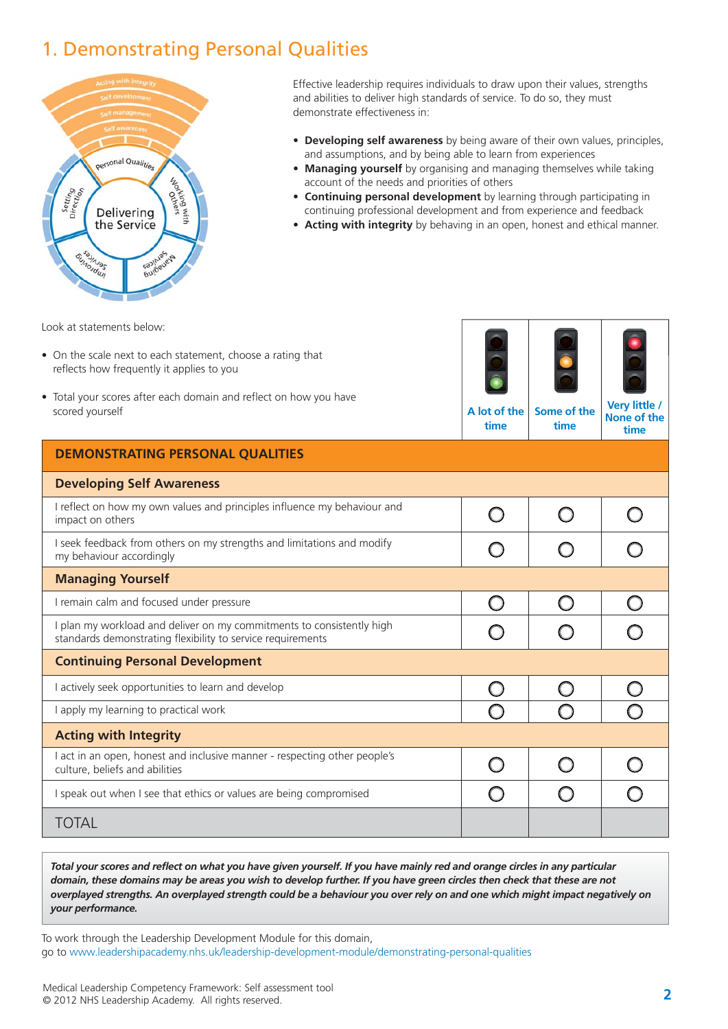### 1. Demonstrating Personal Qualities



Effective leadership requires individuals to draw upon their values, strengths and abilities to deliver high standards of service. To do so, they must demonstrate effectiveness in:

- **Developing self awareness** by being aware of their own values, principles, and assumptions, and by being able to learn from experiences
- **Managing yourself** by organising and managing themselves while taking account of the needs and priorities of others
- **Continuing personal development** by learning through participating in continuing professional development and from experience and feedback
- **Acting with integrity** by behaving in an open, honest and ethical manner.

Look at statements below:

- On the scale next to each statement, choose a rating that reflects how frequently it applies to you
- Total your scores after each domain and reflect on how you have scored yourself



**A lot of the time Some of the time**

**Very little / None of the**

|                                                                                                                                      | ume | ume | time |
|--------------------------------------------------------------------------------------------------------------------------------------|-----|-----|------|
| <b>DEMONSTRATING PERSONAL QUALITIES</b>                                                                                              |     |     |      |
| <b>Developing Self Awareness</b>                                                                                                     |     |     |      |
| I reflect on how my own values and principles influence my behaviour and<br>impact on others                                         |     |     |      |
| I seek feedback from others on my strengths and limitations and modify<br>my behaviour accordingly                                   |     |     |      |
| <b>Managing Yourself</b>                                                                                                             |     |     |      |
| I remain calm and focused under pressure                                                                                             | ( ) |     |      |
| I plan my workload and deliver on my commitments to consistently high<br>standards demonstrating flexibility to service requirements |     |     |      |
| <b>Continuing Personal Development</b>                                                                                               |     |     |      |
| I actively seek opportunities to learn and develop                                                                                   |     |     |      |
| I apply my learning to practical work                                                                                                |     |     |      |
| <b>Acting with Integrity</b>                                                                                                         |     |     |      |
| I act in an open, honest and inclusive manner - respecting other people's<br>culture, beliefs and abilities                          |     |     |      |
| I speak out when I see that ethics or values are being compromised                                                                   |     |     |      |
| TOTAL                                                                                                                                |     |     |      |

*Total your scores and reflect on what you have given yourself. If you have mainly red and orange circles in any particular domain, these domains may be areas you wish to develop further. If you have green circles then check that these are not overplayed strengths. An overplayed strength could be a behaviour you over rely on and one which might impact negatively on your performance.*

To work through the Leadership Development Module for this domain, go to [www.leadershipacademy.nhs.uk/leadership-development-module/demonstrating-personal-qualities](http://www.leadershipacademy.nhs.uk/leadership-development-module/demonstrating-personal-qualities)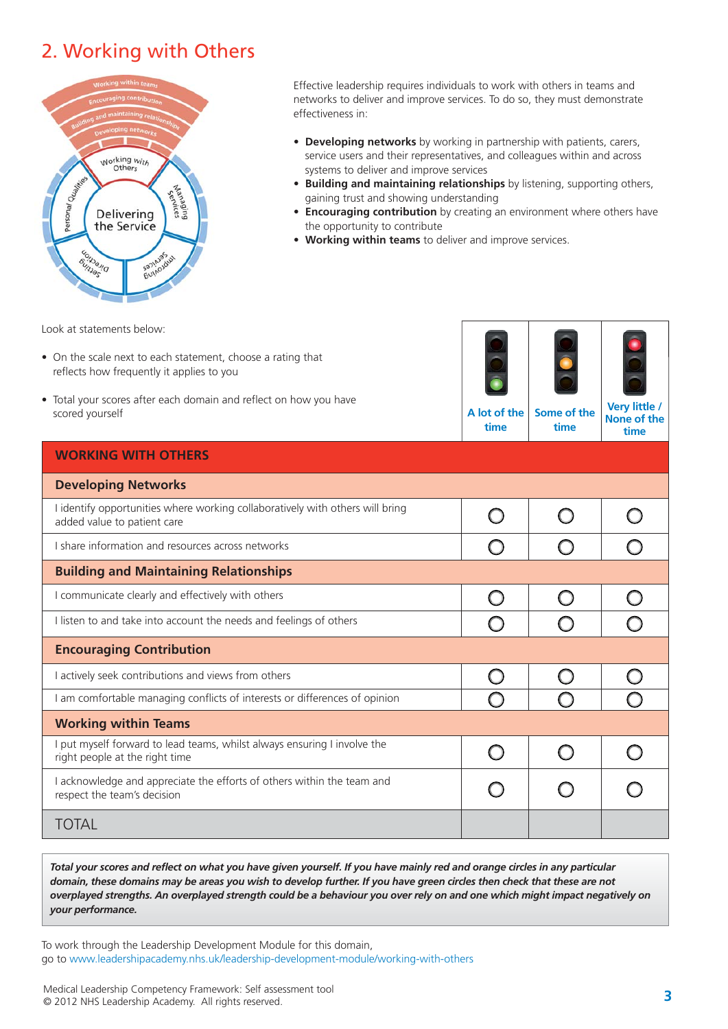### 2. Working with Others



Effective leadership requires individuals to work with others in teams and networks to deliver and improve services. To do so, they must demonstrate effectiveness in:

- **Developing networks** by working in partnership with patients, carers, service users and their representatives, and colleagues within and across systems to deliver and improve services
- **Building and maintaining relationships** by listening, supporting others, gaining trust and showing understanding
- **Encouraging contribution** by creating an environment where others have the opportunity to contribute
- **Working within teams** to deliver and improve services.

Look at statements below:

- On the scale next to each statement, choose a rating that reflects how frequently it applies to you
- Total your scores after each domain and reflect on how you have scored yourself



**A lot of the time Some of the time**

**Very little / None of the time**

| <b>WORKING WITH OTHERS</b>                                                                                   |  |  |
|--------------------------------------------------------------------------------------------------------------|--|--|
| <b>Developing Networks</b>                                                                                   |  |  |
| I identify opportunities where working collaboratively with others will bring<br>added value to patient care |  |  |
| I share information and resources across networks                                                            |  |  |
| <b>Building and Maintaining Relationships</b>                                                                |  |  |
| I communicate clearly and effectively with others                                                            |  |  |
| I listen to and take into account the needs and feelings of others                                           |  |  |
| <b>Encouraging Contribution</b>                                                                              |  |  |
| I actively seek contributions and views from others                                                          |  |  |
| I am comfortable managing conflicts of interests or differences of opinion                                   |  |  |
| <b>Working within Teams</b>                                                                                  |  |  |
| I put myself forward to lead teams, whilst always ensuring I involve the<br>right people at the right time   |  |  |
| I acknowledge and appreciate the efforts of others within the team and<br>respect the team's decision        |  |  |
| <b>TOTAL</b>                                                                                                 |  |  |

*Total your scores and reflect on what you have given yourself. If you have mainly red and orange circles in any particular domain, these domains may be areas you wish to develop further. If you have green circles then check that these are not overplayed strengths. An overplayed strength could be a behaviour you over rely on and one which might impact negatively on your performance.*

To work through the Leadership Development Module for this domain, go to [www.leadershipacademy.nhs.uk/leadership-development-module/working-with-others](http://www.leadershipacademy.nhs.uk/leadership-development-module/working-with-others)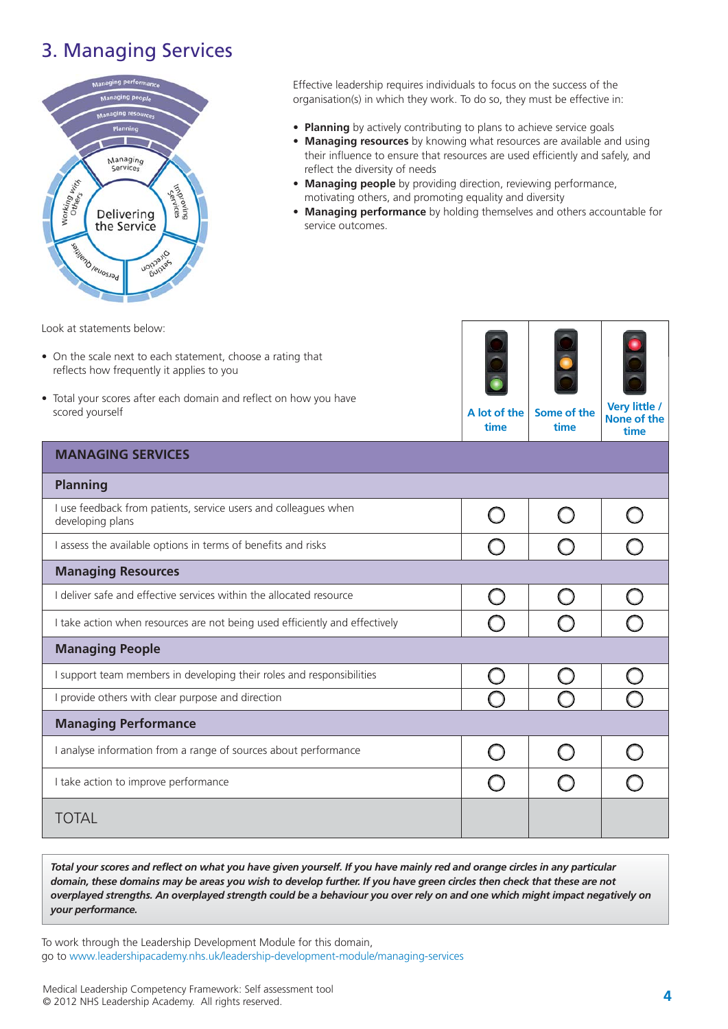### 3. Managing Services



Effective leadership requires individuals to focus on the success of the organisation(s) in which they work. To do so, they must be effective in:

- **Planning** by actively contributing to plans to achieve service goals
- **Managing resources** by knowing what resources are available and using their influence to ensure that resources are used efficiently and safely, and reflect the diversity of needs
- **Managing people** by providing direction, reviewing performance, motivating others, and promoting equality and diversity
- **Managing performance** by holding themselves and others accountable for service outcomes.

Look at statements below:

- On the scale next to each statement, choose a rating that reflects how frequently it applies to you
- Total your scores after each domain and reflect on how you have scored yourself



| scorea poursen                                                                      | וש ושני<br>time | טווי וט טוווט<br>time | None of the<br>time |
|-------------------------------------------------------------------------------------|-----------------|-----------------------|---------------------|
| <b>MANAGING SERVICES</b>                                                            |                 |                       |                     |
| <b>Planning</b>                                                                     |                 |                       |                     |
| I use feedback from patients, service users and colleagues when<br>developing plans |                 |                       |                     |
| I assess the available options in terms of benefits and risks                       |                 |                       |                     |
| <b>Managing Resources</b>                                                           |                 |                       |                     |
| I deliver safe and effective services within the allocated resource                 |                 |                       |                     |
| I take action when resources are not being used efficiently and effectively         |                 |                       |                     |
| <b>Managing People</b>                                                              |                 |                       |                     |
| I support team members in developing their roles and responsibilities               |                 |                       |                     |
| I provide others with clear purpose and direction                                   |                 |                       |                     |
| <b>Managing Performance</b>                                                         |                 |                       |                     |
| I analyse information from a range of sources about performance                     |                 |                       |                     |
| I take action to improve performance                                                |                 |                       |                     |
| TOTAL                                                                               |                 |                       |                     |

*Total your scores and reflect on what you have given yourself. If you have mainly red and orange circles in any particular domain, these domains may be areas you wish to develop further. If you have green circles then check that these are not overplayed strengths. An overplayed strength could be a behaviour you over rely on and one which might impact negatively on your performance.*

To work through the Leadership Development Module for this domain, go to [www.leadershipacademy.nhs.uk/leadership-development-module/managing-services](http://www.leadershipacademy.nhs.uk/leadership-development-module/managing-services)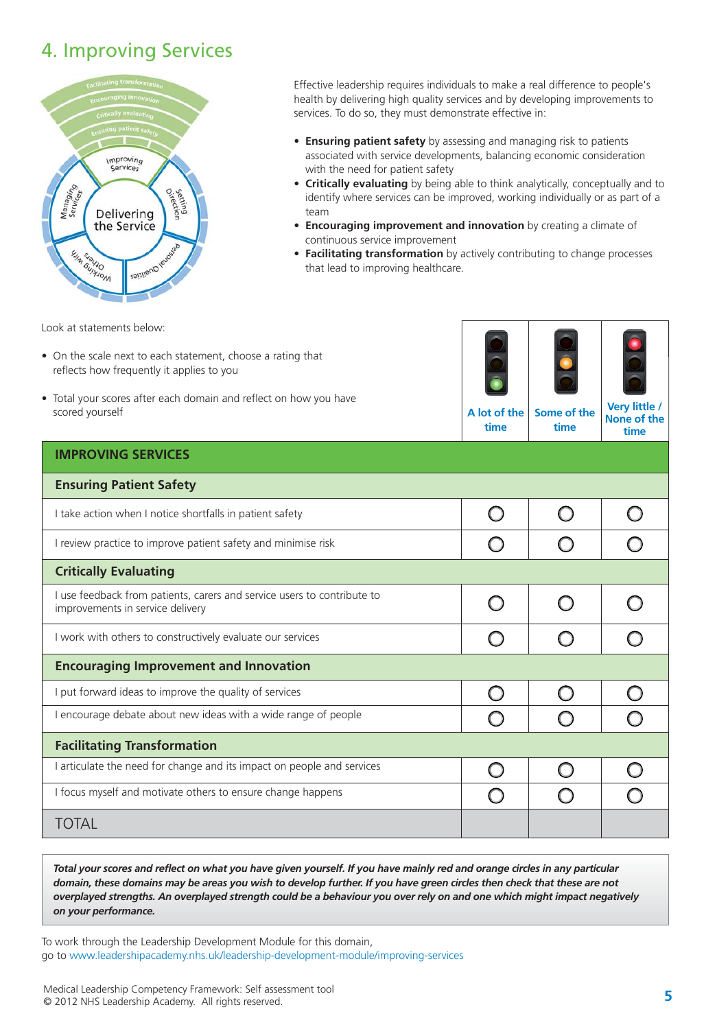### 4. Improving Services



Effective leadership requires individuals to make a real difference to people's health by delivering high quality services and by developing improvements to services. To do so, they must demonstrate effective in:

- **Ensuring patient safety** by assessing and managing risk to patients associated with service developments, balancing economic consideration with the need for patient safety
- **Critically evaluating** by being able to think analytically, conceptually and to identify where services can be improved, working individually or as part of a team
- **Encouraging improvement and innovation** by creating a climate of continuous service improvement
- **Facilitating transformation** by actively contributing to change processes that lead to improving healthcare.

Look at statements below:

- On the scale next to each statement, choose a rating that reflects how frequently it applies to you
- Total your scores after each domain and reflect on how you have scored yourself



**A lot of the time Some of the time**

**Very little / None of the**

|                                                                                                             | ume | ume | time |
|-------------------------------------------------------------------------------------------------------------|-----|-----|------|
| <b>IMPROVING SERVICES</b>                                                                                   |     |     |      |
| <b>Ensuring Patient Safety</b>                                                                              |     |     |      |
| I take action when I notice shortfalls in patient safety                                                    |     |     |      |
| I review practice to improve patient safety and minimise risk                                               |     |     |      |
| <b>Critically Evaluating</b>                                                                                |     |     |      |
| I use feedback from patients, carers and service users to contribute to<br>improvements in service delivery |     |     |      |
| I work with others to constructively evaluate our services                                                  |     |     |      |
| <b>Encouraging Improvement and Innovation</b>                                                               |     |     |      |
| put forward ideas to improve the quality of services                                                        |     |     |      |
| encourage debate about new ideas with a wide range of people                                                |     |     |      |
| <b>Facilitating Transformation</b>                                                                          |     |     |      |
| I articulate the need for change and its impact on people and services                                      |     |     |      |
| I focus myself and motivate others to ensure change happens                                                 |     |     |      |
| <b>TOTAL</b>                                                                                                |     |     |      |

*Total your scores and reflect on what you have given yourself. If you have mainly red and orange circles in any particular domain, these domains may be areas you wish to develop further. If you have green circles then check that these are not overplayed strengths. An overplayed strength could be a behaviour you over rely on and one which might impact negatively on your performance.*

To work through the Leadership Development Module for this domain, go to [www.leadershipacademy.nhs.uk/leadership-development-module/improving-services](http://www.leadershipacademy.nhs.uk/leadership-development-module/improving-services)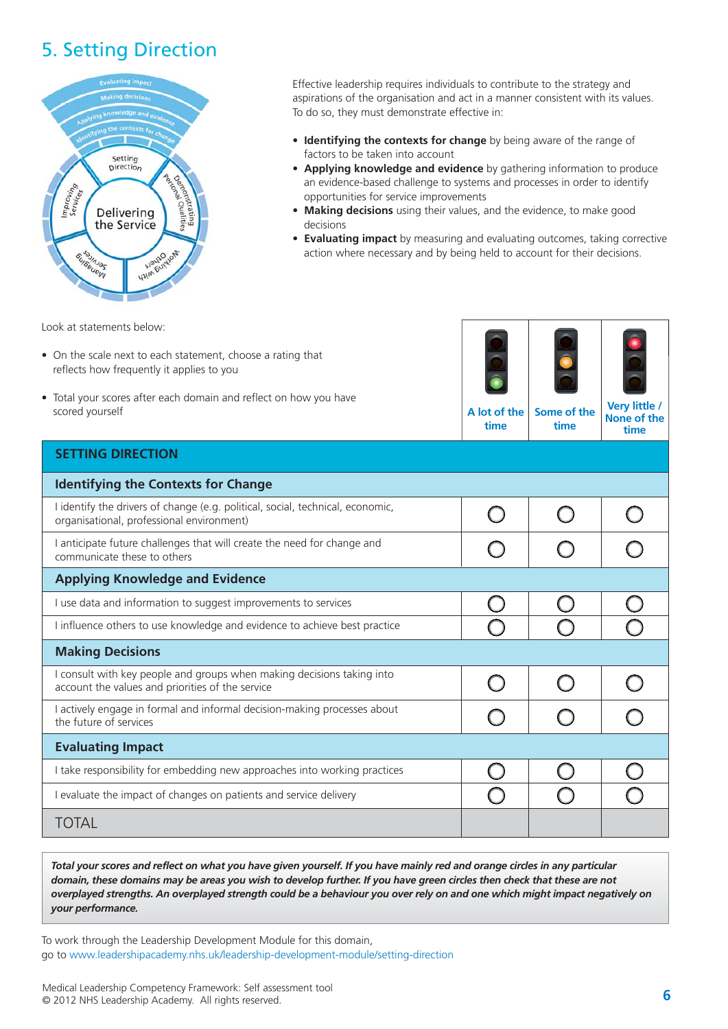### 5. Setting Direction



Effective leadership requires individuals to contribute to the strategy and aspirations of the organisation and act in a manner consistent with its values. To do so, they must demonstrate effective in:

- **Identifying the contexts for change** by being aware of the range of factors to be taken into account
- **Applying knowledge and evidence** by gathering information to produce an evidence-based challenge to systems and processes in order to identify opportunities for service improvements
- **Making decisions** using their values, and the evidence, to make good decisions
- **Evaluating impact** by measuring and evaluating outcomes, taking corrective action where necessary and by being held to account for their decisions.

**time**

Look at statements below:

- On the scale next to each statement, choose a rating that reflects how frequently it applies to you
- Total your scores after each domain and reflect on how you have scored yourself



**time**

**None of the time**

**SETTING DIRECTION**

| <b>Identifying the Contexts for Change</b>                                                                                  |  |  |
|-----------------------------------------------------------------------------------------------------------------------------|--|--|
| I identify the drivers of change (e.g. political, social, technical, economic,<br>organisational, professional environment) |  |  |
| I anticipate future challenges that will create the need for change and<br>communicate these to others                      |  |  |
| <b>Applying Knowledge and Evidence</b>                                                                                      |  |  |
| I use data and information to suggest improvements to services                                                              |  |  |
| I influence others to use knowledge and evidence to achieve best practice                                                   |  |  |
| <b>Making Decisions</b>                                                                                                     |  |  |
| I consult with key people and groups when making decisions taking into<br>account the values and priorities of the service  |  |  |
| I actively engage in formal and informal decision-making processes about<br>the future of services                          |  |  |
| <b>Evaluating Impact</b>                                                                                                    |  |  |
| I take responsibility for embedding new approaches into working practices                                                   |  |  |
| I evaluate the impact of changes on patients and service delivery                                                           |  |  |
| TOTAL                                                                                                                       |  |  |

*Total your scores and reflect on what you have given yourself. If you have mainly red and orange circles in any particular domain, these domains may be areas you wish to develop further. If you have green circles then check that these are not overplayed strengths. An overplayed strength could be a behaviour you over rely on and one which might impact negatively on your performance.*

To work through the Leadership Development Module for this domain, go to [www.leadershipacademy.nhs.uk/leadership-development-module/setting-direction](http://www.leadershipacademy.nhs.uk/leadership-development-module/setting-direction)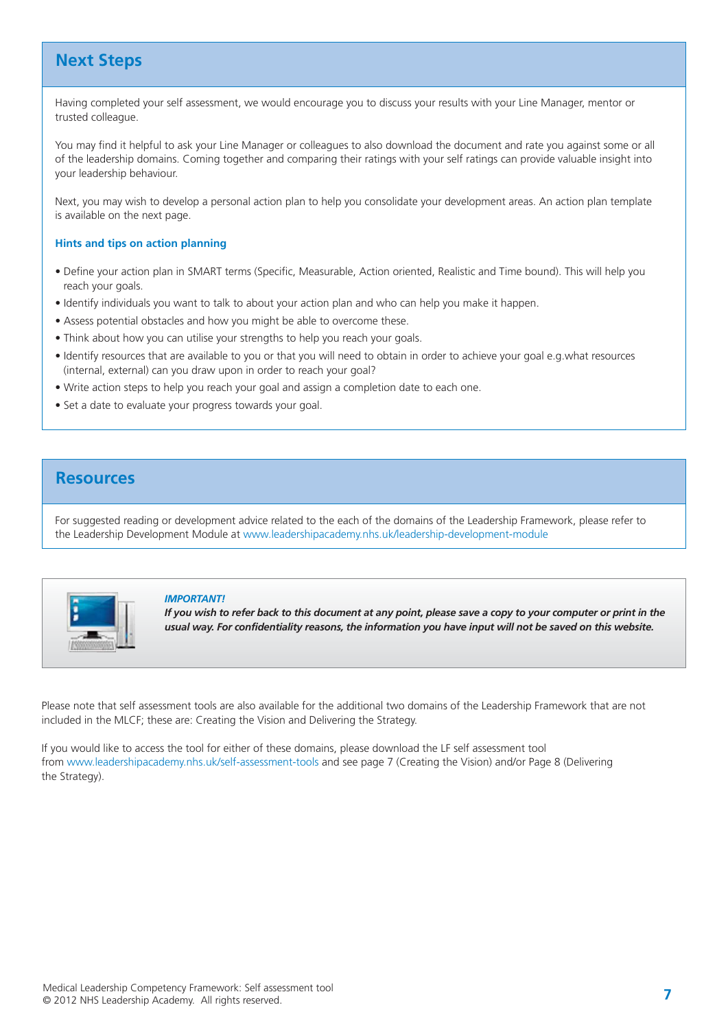### **Next Steps**

Having completed your self assessment, we would encourage you to discuss your results with your Line Manager, mentor or trusted colleague.

You may find it helpful to ask your Line Manager or colleagues to also download the document and rate you against some or all of the leadership domains. Coming together and comparing their ratings with your self ratings can provide valuable insight into your leadership behaviour.

Next, you may wish to develop a personal action plan to help you consolidate your development areas. An action plan template is available on the next page.

### **Hints and tips on action planning**

- Define your action plan in SMART terms (Specific, Measurable, Action oriented, Realistic and Time bound). This will help you reach your goals.
- Identify individuals you want to talk to about your action plan and who can help you make it happen.
- Assess potential obstacles and how you might be able to overcome these.
- Think about how you can utilise your strengths to help you reach your goals.
- Identify resources that are available to you or that you will need to obtain in order to achieve your goal e.g.what resources (internal, external) can you draw upon in order to reach your goal?
- Write action steps to help you reach your goal and assign a completion date to each one.
- Set a date to evaluate your progress towards your goal.

### **Resources**

For suggested reading or development advice related to the each of the domains of the Leadership Framework, please refer to the Leadership Development Module at [www.leadershipacademy.nhs.uk/leadership-development-module](http://www.leadershipacademy.nhs.uk/leadership-development-module)



#### *IMPORTANT!*

*If you wish to refer back to this document at any point, please save a copy to your computer or print in the usual way. For confidentiality reasons, the information you have input will not be saved on this website.*

Please note that self assessment tools are also available for the additional two domains of the Leadership Framework that are not included in the MLCF; these are: Creating the Vision and Delivering the Strategy.

If you would like to access the tool for either of these domains, please download the LF self assessment tool from [www.leadershipacademy.nhs.uk/self-assessment-tools](http://www.leadershipacademy.nhs.uk/self-assessment-tools) and see page 7 (Creating the Vision) and/or Page 8 (Delivering the Strategy).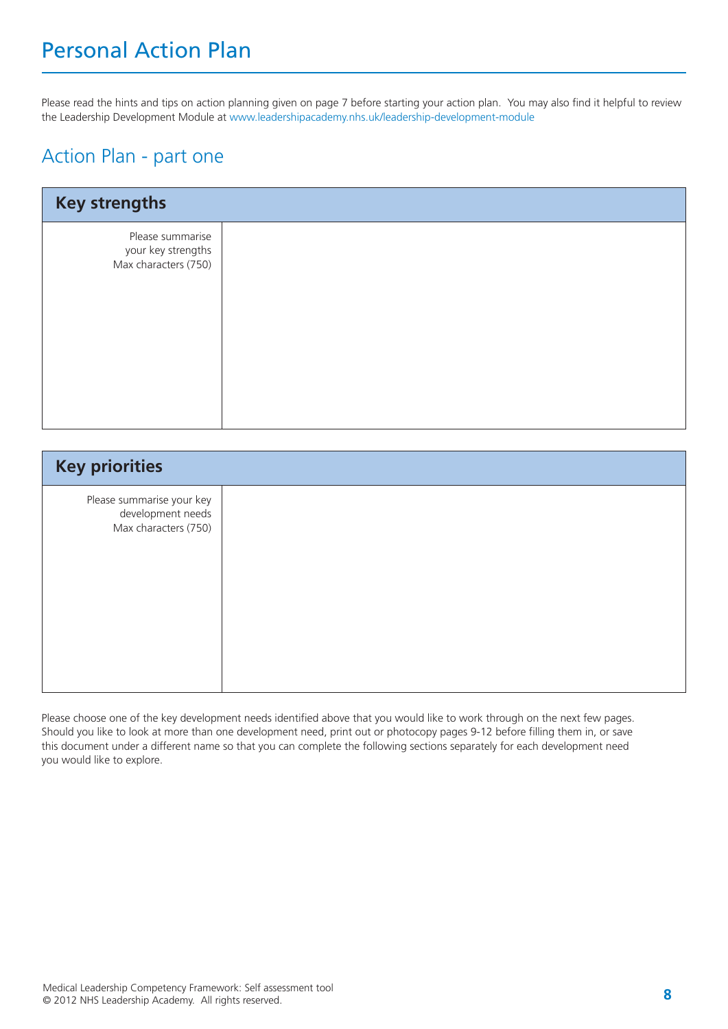## Personal Action Plan

Please read the hints and tips on action planning given on page 7 before starting your action plan. You may also find it helpful to review the Leadership Development Module at [www.leadershipacademy.nhs.uk/leadership-development-module](http://www.leadershipacademy.nhs.uk/leadership-development-module)

### Action Plan - part one

| <b>Key strengths</b>                                           |  |
|----------------------------------------------------------------|--|
| Please summarise<br>your key strengths<br>Max characters (750) |  |

| <b>Key priorities</b>                                                  |  |
|------------------------------------------------------------------------|--|
| Please summarise your key<br>development needs<br>Max characters (750) |  |

Please choose one of the key development needs identified above that you would like to work through on the next few pages. Should you like to look at more than one development need, print out or photocopy pages 9-12 before filling them in, or save this document under a different name so that you can complete the following sections separately for each development need you would like to explore.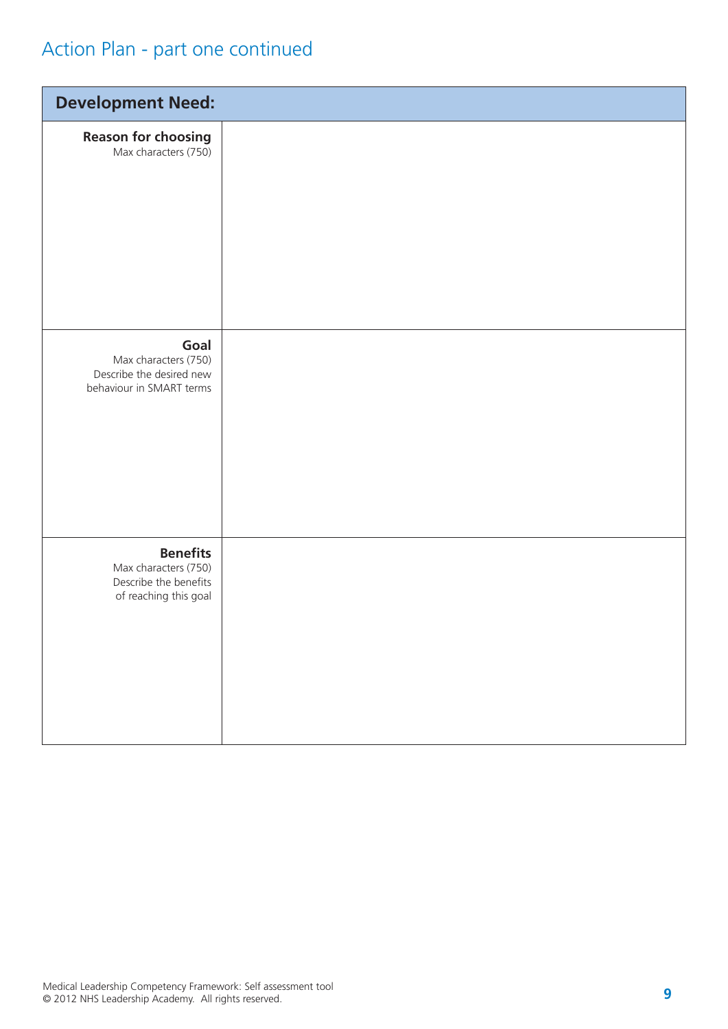## Action Plan - part one continued

| <b>Development Need:</b>                                                                  |  |
|-------------------------------------------------------------------------------------------|--|
| <b>Reason for choosing</b><br>Max characters (750)                                        |  |
| Goal<br>Max characters (750)<br>Describe the desired new<br>behaviour in SMART terms      |  |
| <b>Benefits</b><br>Max characters (750)<br>Describe the benefits<br>of reaching this goal |  |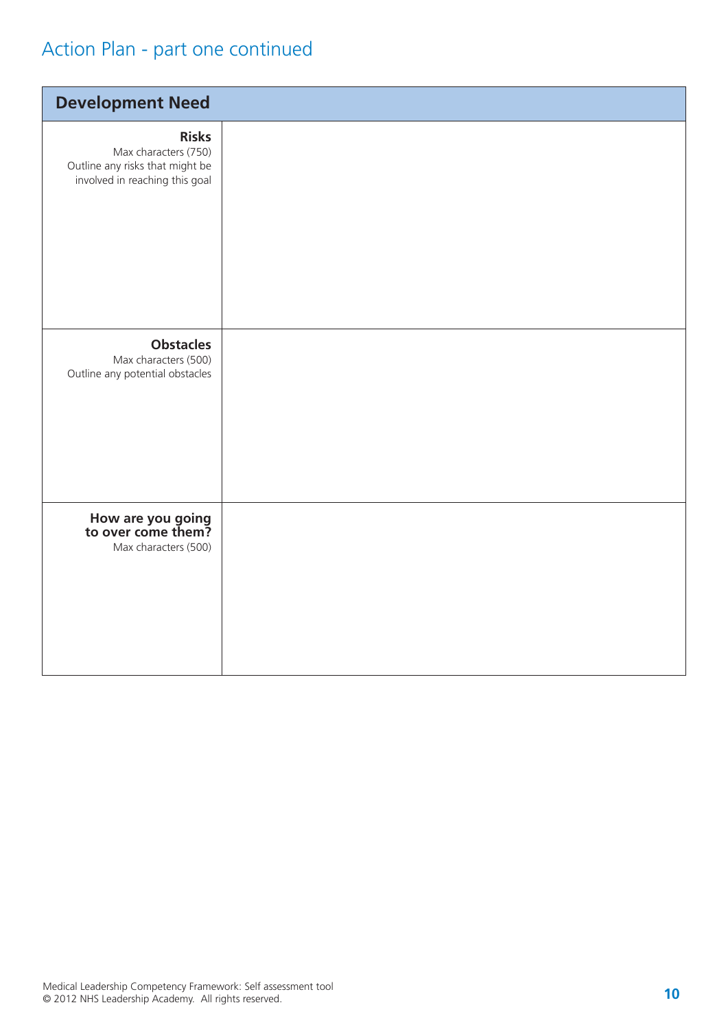## Action Plan - part one continued

| <b>Development Need</b>                                                                                   |  |
|-----------------------------------------------------------------------------------------------------------|--|
| <b>Risks</b><br>Max characters (750)<br>Outline any risks that might be<br>involved in reaching this goal |  |
| <b>Obstacles</b><br>Max characters (500)<br>Outline any potential obstacles                               |  |
| How are you going<br>to over come them?<br>Max characters (500)                                           |  |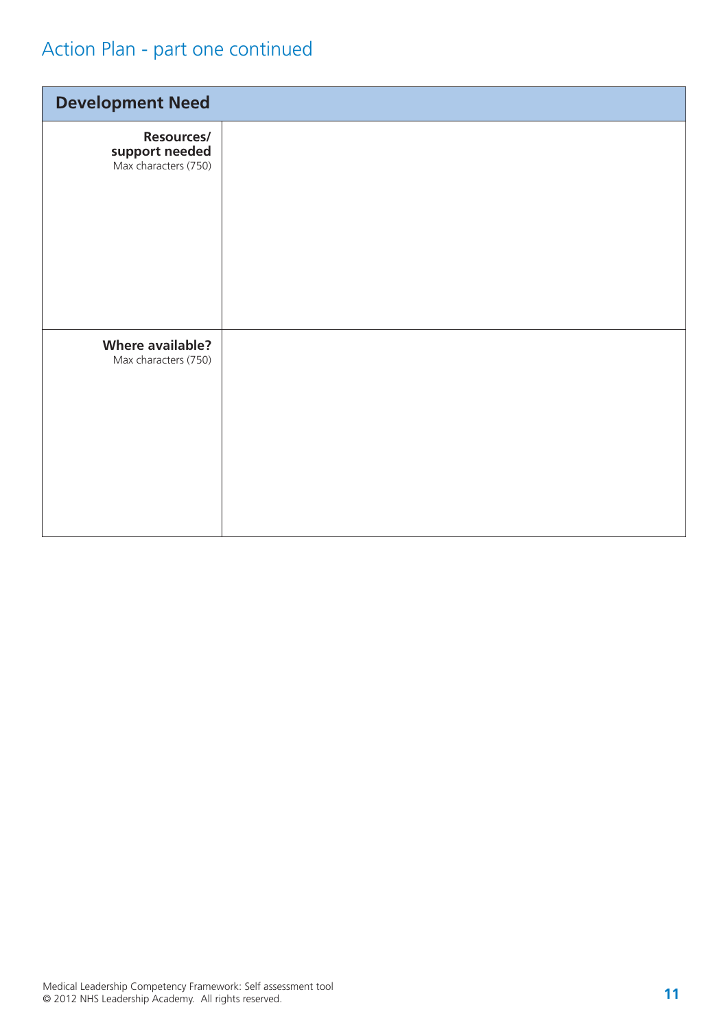## Action Plan - part one continued

| <b>Development Need</b>                              |  |
|------------------------------------------------------|--|
| Resources/<br>support needed<br>Max characters (750) |  |
| <b>Where available?</b><br>Max characters (750)      |  |